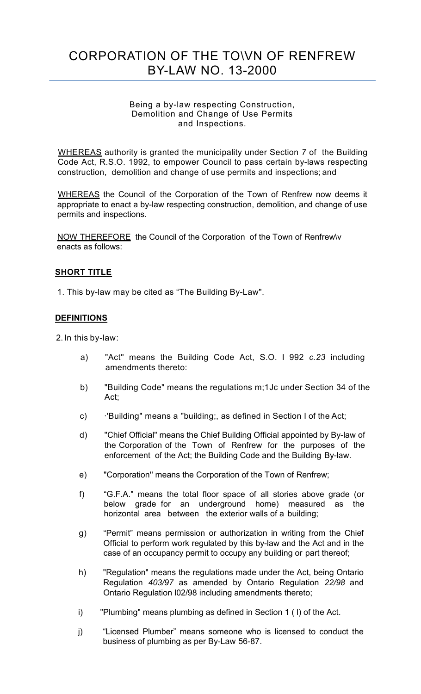# CORPORATION OF THE TO\VN OF RENFREW BY-LAW NO. 13-2000

#### Being a by-law respecting Construction, Demolition and Change of Use Permits and Inspections.

WHEREAS authority is granted the municipality under Section *7* of the Building Code Act, R.S.O. 1992, to empower Council to pass certain by-laws respecting construction, demolition and change of use permits and inspections; and

WHEREAS the Council of the Corporation of the Town of Renfrew now deems it appropriate to enact a by-law respecting construction, demolition, and change of use permits and inspections.

NOW THEREFORE the Council of the Corporation of the Town of Renfrew\v enacts as follows:

## **SHORT TITLE**

1. This by-law may be cited as "The Building By-Law".

## **DEFINITIONS**

2. In this by-law:

- a) "Act'' means the Building Code Act, S.O. l 992 *c.23* including amendments thereto:
- b) "Building Code" means the regulations m;1Jc under Section 34 of the Act;
- c) ·'Building" means a ''building;, as defined in Section I of the Act;
- d) "Chief Official" means the Chief Building Official appointed by By-law of the Corporation of the Town of Renfrew for the purposes of the enforcement of the Act; the Building Code and the Building By-law.
- e) "Corporation'' means the Corporation of the Town of Renfrew;
- f) "G.F.A." means the total floor space of all stories above grade (or below grade for an underground home) measured as the horizontal area between the exterior walls of a building;
- g) "Permit" means permission or authorization in writing from the Chief Official to perform work regulated by this by-law and the Act and in the case of an occupancy permit to occupy any building or part thereof;
- h) "Regulation" means the regulations made under the Act, being Ontario Regulation *403/97* as amended by Ontario Regulation *22/98* and Ontario Regulation l02/98 including amendments thereto;
- i) "Plumbing" means plumbing as defined in Section 1 ( l) of the Act.
- j) "Licensed Plumber" means someone who is licensed to conduct the business of plumbing as per By-Law 56-87.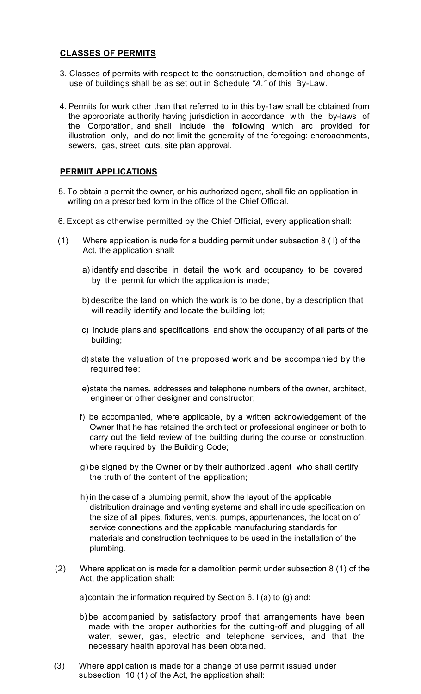## **CLASSES OF PERMITS**

- *J*  use of buildings shall be as set out in Schedule *"A."* of this By-Law. 3. Classes of permits with respect to the construction, demolition and change of
- 4. Permits for work other than that referred to in this by-1aw shall be obtained from the appropriate authority having jurisdiction in accordance with the by-laws of the Corporation, and shall include the following which arc provided for illustration only, and do not limit the generality of the foregoing: encroachments, sewers, gas, street cuts, site plan approval.

#### **PERMIIT APPLICATIONS**

- 5. To obtain a permit the owner, or his authorized agent, shall file an application in writing on a prescribed form in the office of the Chief Official.
- 6. Except as otherwise permitted by the Chief Official, every application shall:
- (1) Where application is nude for a budding permit under subsection 8 ( l) of the Act, the application shall:
	- a) identify and describe in detail the work and occupancy to be covered by the permit for which the application is made;
	- b) describe the land on which the work is to be done, by a description that will readily identify and locate the building lot;
	- c) include plans and specifications, and show the occupancy of all parts of the building;
	- d) state the valuation of the proposed work and be accompanied by the required fee;
	- e)state the names. addresses and telephone numbers of the owner, architect, engineer or other designer and constructor;
	- f) be accompanied, where applicable, by a written acknowledgement of the Owner that he has retained the architect or professional engineer or both to carry out the field review of the building during the course or construction, where required by the Building Code;
	- g) be signed by the Owner or by their authorized .agent who shall certify the truth of the content of the application;
	- h) in the case of a plumbing permit, show the layout of the applicable distribution drainage and venting systems and shall include specification on the size of all pipes, fixtures, vents, pumps, appurtenances, the location of service connections and the applicable manufacturing standards for materials and construction techniques to be used in the installation of the plumbing.
- (2) Where application is made for a demolition permit under subsection 8 (1) of the Act, the application shall:
	- a)contain the information required by Section 6*.* l (a) to (g) and:
	- b) be accompanied by satisfactory proof that arrangements have been made with the proper authorities for the cutting-off and plugging of all water, sewer, gas, electric and telephone services, and that the necessary health approval has been obtained.
- (3) Where application is made for a change of use permit issued under subsection 10 (1) of the Act, the application shall: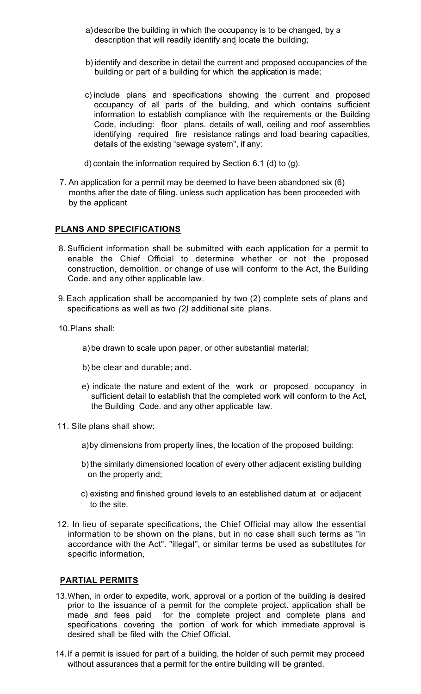- description that will readily identify and locate the building; a)describe the building in which the occupancy is to be changed, by a
- b) identify and describe in detail the current and proposed occupancies of the building or part of a building for which the application is made;
- c) include plans and specifications showing the current and proposed occupancy of all parts of the building, and which contains sufficient information to establish compliance with the requirements or the Building Code, including: floor plans. details of wall, ceiling and roof assemblies identifying required fire resistance ratings and load bearing capacities, details of the existing "sewage system", if any:
- d) contain the information required by Section 6.1 (d) to (g).
- 7. An application for a permit may be deemed to have been abandoned six (6) months after the date of filing. unless such application has been proceeded with by the applicant

#### **PLANS AND SPECIFICATIONS**

- 8. Sufficient information shall be submitted with each application for a permit to enable the Chief Official to determine whether or not the proposed construction, demolition. or change of use will conform to the Act, the Building Code. and any other applicable law.
- 9.Each application shall be accompanied by two (2) complete sets of plans and specifications as well as two *(2)* additional site plans.
- 10.Plans shall:
	- a)be drawn to scale upon paper, or other substantial material;
	- b) be clear and durable; and.
	- e) indicate the nature and extent of the work or proposed occupancy in sufficient detail to establish that the completed work will conform to the Act, the Building Code. and any other applicable law.
- 11. Site plans shall show:
	- a)by dimensions from property lines, the location of the proposed building:
	- b) the similarly dimensioned location of every other adjacent existing building on the property and;
	- c) existing and finished ground levels to an established datum at or adjacent to the site.
- 12. In lieu of separate specifications, the Chief Official may allow the essential information to be shown on the plans, but in no case shall such terms as "in accordance with the Act". "illegal'', or similar terms be used as substitutes for specific information,

#### **PARTIAL PERMITS**

- 13.When, in order to expedite, work, approval or a portion of the building is desired prior to the issuance of a permit for the complete project. application shall be made and fees paid for the complete project and complete plans and specifications covering the portion of work for which immediate approval is desired shall be filed with the Chief Official.
- 14.If a permit is issued for part of a building, the holder of such permit may proceed without assurances that a permit for the entire building will be granted.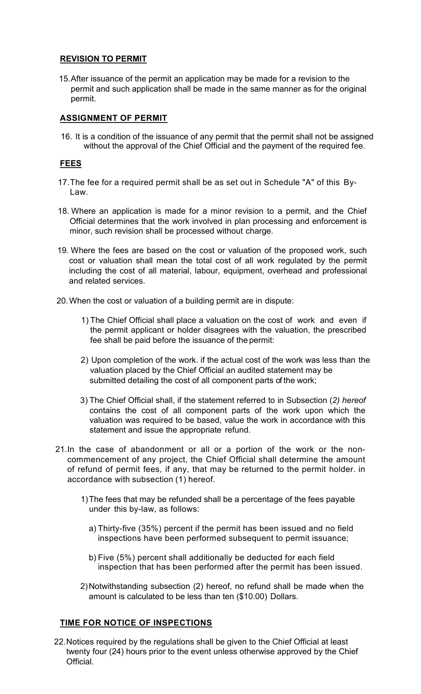## **REVISION TO PERMIT**

15.After issuance of the permit an application may be made for a revision to the permit and such application shall be made in the same manner as for the original permit.

## **ASSIGNMENT OF PERMIT**

16. It is a condition of the issuance of any permit that the permit shall not be assigned without the approval of the Chief Official and the payment of the required fee.

# **FEES**

- 17.The fee for a required permit shall be as set out in Schedule "A" of this By-Law.
- 18. Where an application is made for a minor revision to a permit, and the Chief Official determines that the work involved in plan processing and enforcement is minor, such revision shall be processed without charge.
- 19. Where the fees are based on the cost or valuation of the proposed work, such cost or valuation shall mean the total cost of all work regulated by the permit including the cost of all material, labour, equipment, overhead and professional and related services.
- 20.When the cost or valuation of a building permit are in dispute:
	- 1) The Chief Official shall place a valuation on the cost of work and even if the permit applicant or holder disagrees with the valuation, the prescribed fee shall be paid before the issuance of the permit:
	- 2) Upon completion of the work. if the actual cost of the work was less than the valuation placed by the Chief Official an audited statement may be submitted detailing the cost of all component parts of the work;
	- 3) The Chief Official shall, if the statement referred to in Subsection (*2) hereof* contains the cost of all component parts of the work upon which the valuation was required to be based, value the work in accordance with this statement and issue the appropriate refund.
- 21.In the case of abandonment or all or a portion of the work or the noncommencement of any project, the Chief Official shall determine the amount of refund of permit fees, if any, that may be returned to the permit holder. in accordance with subsection (1) hereof.
	- 1)The fees that may be refunded shall be a percentage of the fees payable under this by-law, as follows:
		- a) Thirty-five (35%) percent if the permit has been issued and no field inspections have been performed subsequent to permit issuance;
		- b) Five (5%) percent shall additionally be deducted for each field inspection that has been performed after the permit has been issued.
	- 2)Notwithstanding subsection (2) hereof, no refund shall be made when the amount is calculated to be less than ten (\$10.00) Dollars.

# **TIME FOR NOTICE OF INSPECTIONS**

22.Notices required by the regulations shall be given to the Chief Official at least twenty four (24) hours prior to the event unless otherwise approved by the Chief Official.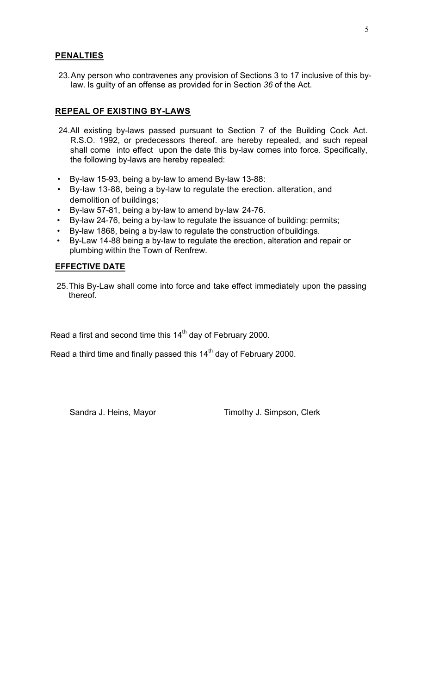#### **PENALTIES**

23. Any person who contravenes any provision of Sections 3 to 17 inclusive of this bylaw. Is guilty of an offense as provided for in Section *36* of the Act*.* 

#### **REPEAL OF EXISTING BY-LAWS**

- 24.All existing by-laws passed pursuant to Section 7 of the Building Cock Act. R.S.O. 1992, or predecessors thereof. are hereby repealed, and such repeal shall come into effect upon the date this by-law comes into force. Specifically, the following by-laws are hereby repealed:
- By-law 15-93, being a by-law to amend By-law 13-88:
- By-law 13-88, being a by-law to regulate the erection. alteration, and demolition of buildings;
- By-law 57-81, being a by-law to amend by-law 24-76.
- By-law 24-76, being a by-law to regulate the issuance of building: permits;
- By-law 1868, being a by-law to regulate the construction of buildings.
- By-Law 14-88 being a by-law to regulate the erection, alteration and repair or plumbing within the Town of Renfrew.

#### **EFFECTIVE DATE**

25.This By-Law shall come into force and take effect immediately upon the passing thereof.

Read a first and second time this  $14<sup>th</sup>$  day of February 2000.

Read a third time and finally passed this  $14<sup>th</sup>$  day of February 2000.

Sandra J. Heins, Mayor Timothy J. Simpson, Clerk